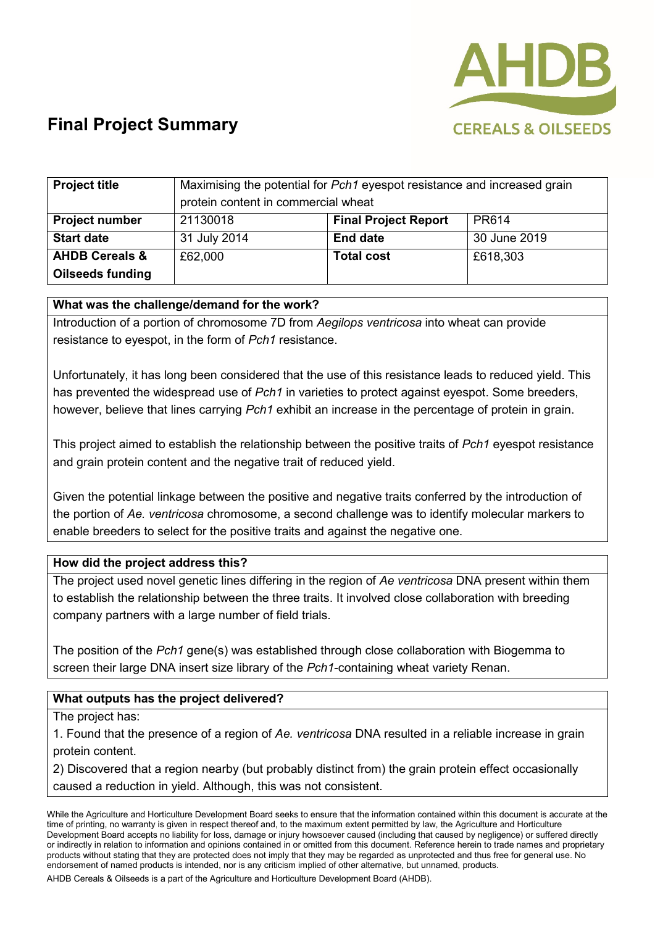

# **Final Project Summary**

| <b>Project title</b>      | Maximising the potential for Pch1 eyespot resistance and increased grain<br>protein content in commercial wheat |                             |              |
|---------------------------|-----------------------------------------------------------------------------------------------------------------|-----------------------------|--------------|
| <b>Project number</b>     | 21130018                                                                                                        | <b>Final Project Report</b> | PR614        |
| <b>Start date</b>         | 31 July 2014                                                                                                    | <b>End date</b>             | 30 June 2019 |
| <b>AHDB Cereals &amp;</b> | £62,000                                                                                                         | <b>Total cost</b>           | £618,303     |
| <b>Oilseeds funding</b>   |                                                                                                                 |                             |              |

### **What was the challenge/demand for the work?**

Introduction of a portion of chromosome 7D from *Aegilops ventricosa* into wheat can provide resistance to eyespot, in the form of *Pch1* resistance.

Unfortunately, it has long been considered that the use of this resistance leads to reduced yield. This has prevented the widespread use of *Pch1* in varieties to protect against eyespot. Some breeders, however, believe that lines carrying *Pch1* exhibit an increase in the percentage of protein in grain.

This project aimed to establish the relationship between the positive traits of *Pch1* eyespot resistance and grain protein content and the negative trait of reduced yield.

Given the potential linkage between the positive and negative traits conferred by the introduction of the portion of *Ae. ventricosa* chromosome, a second challenge was to identify molecular markers to enable breeders to select for the positive traits and against the negative one.

#### **How did the project address this?**

The project used novel genetic lines differing in the region of *Ae ventricosa* DNA present within them to establish the relationship between the three traits. It involved close collaboration with breeding company partners with a large number of field trials.

The position of the *Pch1* gene(s) was established through close collaboration with Biogemma to screen their large DNA insert size library of the *Pch1*-containing wheat variety Renan.

## **What outputs has the project delivered?**

#### The project has:

1. Found that the presence of a region of *Ae. ventricosa* DNA resulted in a reliable increase in grain protein content.

2) Discovered that a region nearby (but probably distinct from) the grain protein effect occasionally caused a reduction in yield. Although, this was not consistent.

While the Agriculture and Horticulture Development Board seeks to ensure that the information contained within this document is accurate at the time of printing, no warranty is given in respect thereof and, to the maximum extent permitted by law, the Agriculture and Horticulture Development Board accepts no liability for loss, damage or injury howsoever caused (including that caused by negligence) or suffered directly or indirectly in relation to information and opinions contained in or omitted from this document. Reference herein to trade names and proprietary products without stating that they are protected does not imply that they may be regarded as unprotected and thus free for general use. No endorsement of named products is intended, nor is any criticism implied of other alternative, but unnamed, products.

AHDB Cereals & Oilseeds is a part of the Agriculture and Horticulture Development Board (AHDB).